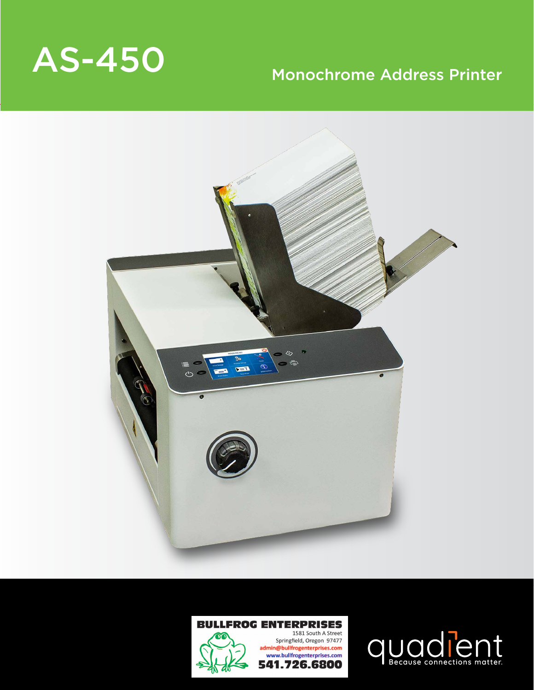# AS-450 Monochrome Address Printer